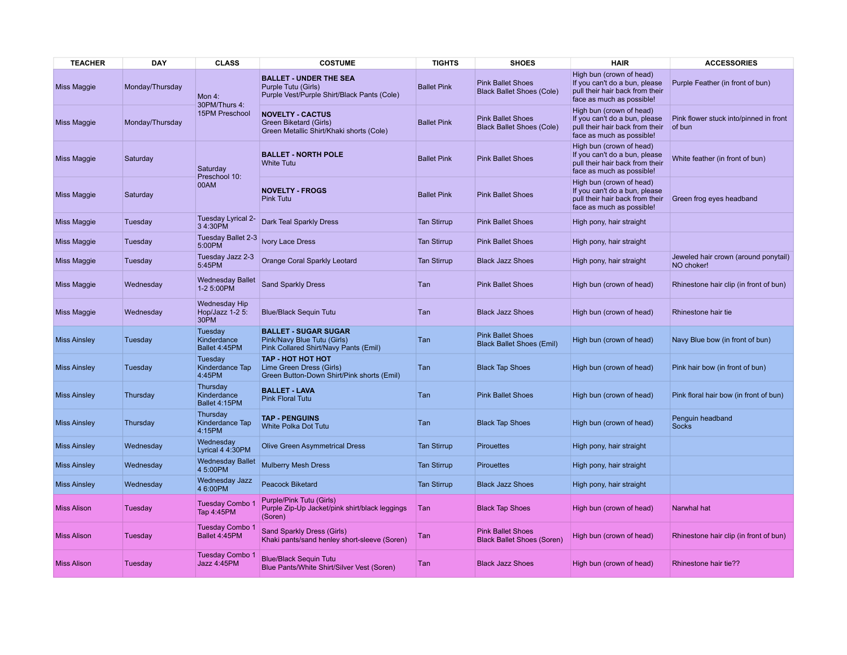| <b>TEACHER</b>      | <b>DAY</b>      | <b>CLASS</b>                                    | <b>COSTUME</b>                                                                                      | <b>TIGHTS</b>      | <b>SHOES</b>                                                  | <b>HAIR</b>                                                                                                               | <b>ACCESSORIES</b>                                 |
|---------------------|-----------------|-------------------------------------------------|-----------------------------------------------------------------------------------------------------|--------------------|---------------------------------------------------------------|---------------------------------------------------------------------------------------------------------------------------|----------------------------------------------------|
| Miss Maggie         | Monday/Thursday | Mon 4:<br>30PM/Thurs 4:<br>15PM Preschool       | <b>BALLET - UNDER THE SEA</b><br>Purple Tutu (Girls)<br>Purple Vest/Purple Shirt/Black Pants (Cole) | <b>Ballet Pink</b> | <b>Pink Ballet Shoes</b><br><b>Black Ballet Shoes (Cole)</b>  | High bun (crown of head)<br>If you can't do a bun, please<br>pull their hair back from their<br>face as much as possible! | Purple Feather (in front of bun)                   |
| <b>Miss Maggie</b>  | Monday/Thursday |                                                 | <b>NOVELTY - CACTUS</b><br>Green Biketard (Girls)<br>Green Metallic Shirt/Khaki shorts (Cole)       | <b>Ballet Pink</b> | <b>Pink Ballet Shoes</b><br><b>Black Ballet Shoes (Cole)</b>  | High bun (crown of head)<br>If you can't do a bun, please<br>pull their hair back from their<br>face as much as possible! | Pink flower stuck into/pinned in front<br>of bun   |
| Miss Maggie         | Saturday        | Saturday<br>Preschool 10:<br>00AM               | <b>BALLET - NORTH POLE</b><br><b>White Tutu</b>                                                     | <b>Ballet Pink</b> | <b>Pink Ballet Shoes</b>                                      | High bun (crown of head)<br>If you can't do a bun, please<br>pull their hair back from their<br>face as much as possible! | White feather (in front of bun)                    |
| Miss Maggie         | Saturday        |                                                 | <b>NOVELTY - FROGS</b><br><b>Pink Tutu</b>                                                          | <b>Ballet Pink</b> | <b>Pink Ballet Shoes</b>                                      | High bun (crown of head)<br>If you can't do a bun, please<br>pull their hair back from their<br>face as much as possible! | Green frog eyes headband                           |
| <b>Miss Maggie</b>  | Tuesday         | Tuesday Lyrical 2-<br>3 4:30PM                  | Dark Teal Sparkly Dress                                                                             | <b>Tan Stirrup</b> | <b>Pink Ballet Shoes</b>                                      | High pony, hair straight                                                                                                  |                                                    |
| Miss Maggie         | Tuesday         | Tuesday Ballet 2-3<br>5:00PM                    | <b>Ivory Lace Dress</b>                                                                             | <b>Tan Stirrup</b> | <b>Pink Ballet Shoes</b>                                      | High pony, hair straight                                                                                                  |                                                    |
| <b>Miss Maggie</b>  | Tuesday         | Tuesday Jazz 2-3<br>5:45PM                      | Orange Coral Sparkly Leotard                                                                        | <b>Tan Stirrup</b> | <b>Black Jazz Shoes</b>                                       | High pony, hair straight                                                                                                  | Jeweled hair crown (around ponytail)<br>NO choker! |
| Miss Maggie         | Wednesday       | <b>Wednesday Ballet</b><br>1-2 5:00PM           | <b>Sand Sparkly Dress</b>                                                                           | Tan                | <b>Pink Ballet Shoes</b>                                      | High bun (crown of head)                                                                                                  | Rhinestone hair clip (in front of bun)             |
| <b>Miss Maggie</b>  | Wednesday       | <b>Wednesday Hip</b><br>Hop/Jazz 1-2 5:<br>30PM | <b>Blue/Black Sequin Tutu</b>                                                                       | Tan                | <b>Black Jazz Shoes</b>                                       | High bun (crown of head)                                                                                                  | Rhinestone hair tie                                |
| <b>Miss Ainsley</b> | Tuesday         | Tuesday<br>Kinderdance<br>Ballet 4:45PM         | <b>BALLET - SUGAR SUGAR</b><br>Pink/Navy Blue Tutu (Girls)<br>Pink Collared Shirt/Navy Pants (Emil) | Tan                | <b>Pink Ballet Shoes</b><br><b>Black Ballet Shoes (Emil)</b>  | High bun (crown of head)                                                                                                  | Navy Blue bow (in front of bun)                    |
| <b>Miss Ainsley</b> | Tuesday         | Tuesday<br>Kinderdance Tap<br>4:45PM            | <b>TAP - HOT HOT HOT</b><br>Lime Green Dress (Girls)<br>Green Button-Down Shirt/Pink shorts (Emil)  | Tan                | <b>Black Tap Shoes</b>                                        | High bun (crown of head)                                                                                                  | Pink hair bow (in front of bun)                    |
| <b>Miss Ainsley</b> | Thursday        | Thursday<br>Kinderdance<br>Ballet 4:15PM        | <b>BALLET - LAVA</b><br><b>Pink Floral Tutu</b>                                                     | Tan                | <b>Pink Ballet Shoes</b>                                      | High bun (crown of head)                                                                                                  | Pink floral hair bow (in front of bun)             |
| <b>Miss Ainsley</b> | Thursday        | Thursday<br>Kinderdance Tap<br>4:15PM           | <b>TAP - PENGUINS</b><br>White Polka Dot Tutu                                                       | Tan                | <b>Black Tap Shoes</b>                                        | High bun (crown of head)                                                                                                  | Penguin headband<br><b>Socks</b>                   |
| <b>Miss Ainsley</b> | Wednesday       | Wednesday<br>Lyrical 4 4:30PM                   | <b>Olive Green Asymmetrical Dress</b>                                                               | <b>Tan Stirrup</b> | <b>Pirouettes</b>                                             | High pony, hair straight                                                                                                  |                                                    |
| <b>Miss Ainsley</b> | Wednesday       | <b>Wednesday Ballet</b><br>4 5:00PM             | <b>Mulberry Mesh Dress</b>                                                                          | <b>Tan Stirrup</b> | <b>Pirouettes</b>                                             | High pony, hair straight                                                                                                  |                                                    |
| <b>Miss Ainsley</b> | Wednesday       | Wednesday Jazz<br>4 6:00PM                      | <b>Peacock Biketard</b>                                                                             | <b>Tan Stirrup</b> | <b>Black Jazz Shoes</b>                                       | High pony, hair straight                                                                                                  |                                                    |
| <b>Miss Alison</b>  | Tuesday         | Tuesday Combo<br>Tap 4:45PM                     | Purple/Pink Tutu (Girls)<br>Purple Zip-Up Jacket/pink shirt/black leggings<br>(Soren)               | Tan                | <b>Black Tap Shoes</b>                                        | High bun (crown of head)                                                                                                  | Narwhal hat                                        |
| <b>Miss Alison</b>  | Tuesday         | Tuesday Combo 1<br>Ballet 4:45PM                | Sand Sparkly Dress (Girls)<br>Khaki pants/sand henley short-sleeve (Soren)                          | Tan                | <b>Pink Ballet Shoes</b><br><b>Black Ballet Shoes (Soren)</b> | High bun (crown of head)                                                                                                  | Rhinestone hair clip (in front of bun)             |
| <b>Miss Alison</b>  | Tuesday         | <b>Tuesday Combo 1</b><br>Jazz 4:45PM           | <b>Blue/Black Sequin Tutu</b><br>Blue Pants/White Shirt/Silver Vest (Soren)                         | Tan                | <b>Black Jazz Shoes</b>                                       | High bun (crown of head)                                                                                                  | Rhinestone hair tie??                              |